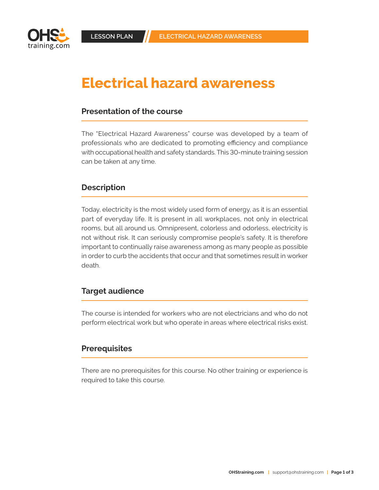

# Electrical hazard awareness

### **Presentation of the course**

The "Electrical Hazard Awareness" course was developed by a team of professionals who are dedicated to promoting efficiency and compliance with occupational health and safety standards. This 30-minute training session can be taken at any time.

#### **Description**

Today, electricity is the most widely used form of energy, as it is an essential part of everyday life. It is present in all workplaces, not only in electrical rooms, but all around us. Omnipresent, colorless and odorless, electricity is not without risk. It can seriously compromise people's safety. It is therefore important to continually raise awareness among as many people as possible in order to curb the accidents that occur and that sometimes result in worker death.

#### **Target audience**

The course is intended for workers who are not electricians and who do not perform electrical work but who operate in areas where electrical risks exist.

#### **Prerequisites**

There are no prerequisites for this course. No other training or experience is required to take this course.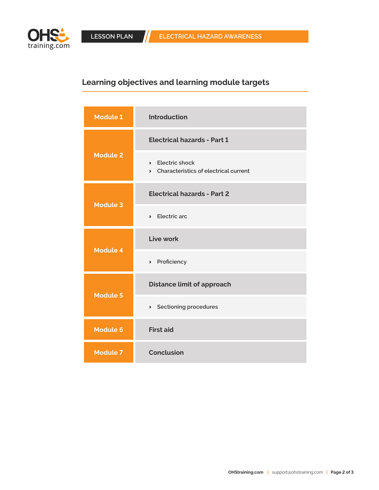

## **Learning objectives and learning module targets**

| <b>Module 1</b> | <b>Introduction</b>                                                           |
|-----------------|-------------------------------------------------------------------------------|
| <b>Module 2</b> | <b>Electrical hazards - Part 1</b>                                            |
|                 | <b>Electric shock</b><br>$\lambda$<br>> Characteristics of electrical current |
| <b>Module 3</b> | <b>Electrical hazards - Part 2</b>                                            |
|                 | $\angle$ Electric arc                                                         |
| <b>Module 4</b> | Live work                                                                     |
|                 | > Proficiency                                                                 |
| <b>Module 5</b> | <b>Distance limit of approach</b>                                             |
|                 | > Sectioning procedures                                                       |
| <b>Module 6</b> | <b>First aid</b>                                                              |
| <b>Module 7</b> | <b>Conclusion</b>                                                             |